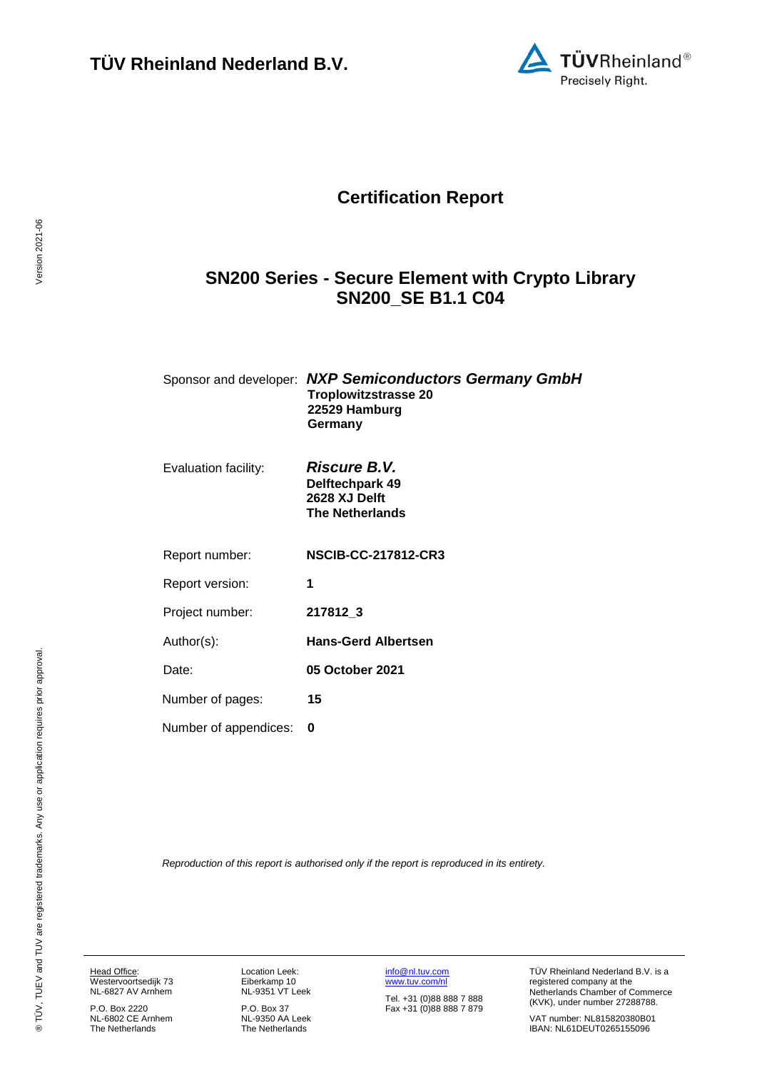

## **Certification Report**

## <span id="page-0-3"></span>**SN200 Series - Secure Element with Crypto Library SN200\_SE B1.1 C04**

<span id="page-0-4"></span>

| Sponsor and developer: NXP Semiconductors Germany GmbH<br>Troplowitzstrasse 20 |
|--------------------------------------------------------------------------------|
| 22529 Hamburg                                                                  |
| Germany                                                                        |

| Evaluation facility: | <b>Riscure B.V.</b>    |
|----------------------|------------------------|
|                      | Delftechpark 49        |
|                      | 2628 XJ Delft          |
|                      | <b>The Netherlands</b> |
|                      |                        |

<span id="page-0-1"></span><span id="page-0-0"></span>Report number: **NSCIB-CC-217812-CR3**

Report version: **1**

Project number: **[217812\\_](#page-0-0)3**

Author(s): **Hans-Gerd Albertsen**

<span id="page-0-2"></span>Date: **05 October 2021**

Number of pages: **15**

Number of appendices: **0**

*Reproduction of this report is authorised only if the report is reproduced in its entirety.*

Head Office: Westervoortsedijk 73 NL-6827 AV Arnhem

P.O. Box 2220 NL-6802 CE Arnhem The Netherlands

Location Leek: Eiberkamp 10 NL-9351 VT Leek

P.O. Box 37 NL-9350 AA Leek The Netherlands

[info@nl.tuv.com](mailto:info@nl.tuv.com) [www.tuv.com/nl](http://www.tuv.com/nl)

Tel. +31 (0)88 888 7 888 Fax +31 (0)88 888 7 879 TÜV Rheinland Nederland B.V. is a registered company at the Netherlands Chamber of Commerce (KVK), under number 27288788.

VAT number: NL815820380B01 IBAN: NL61DEUT0265155096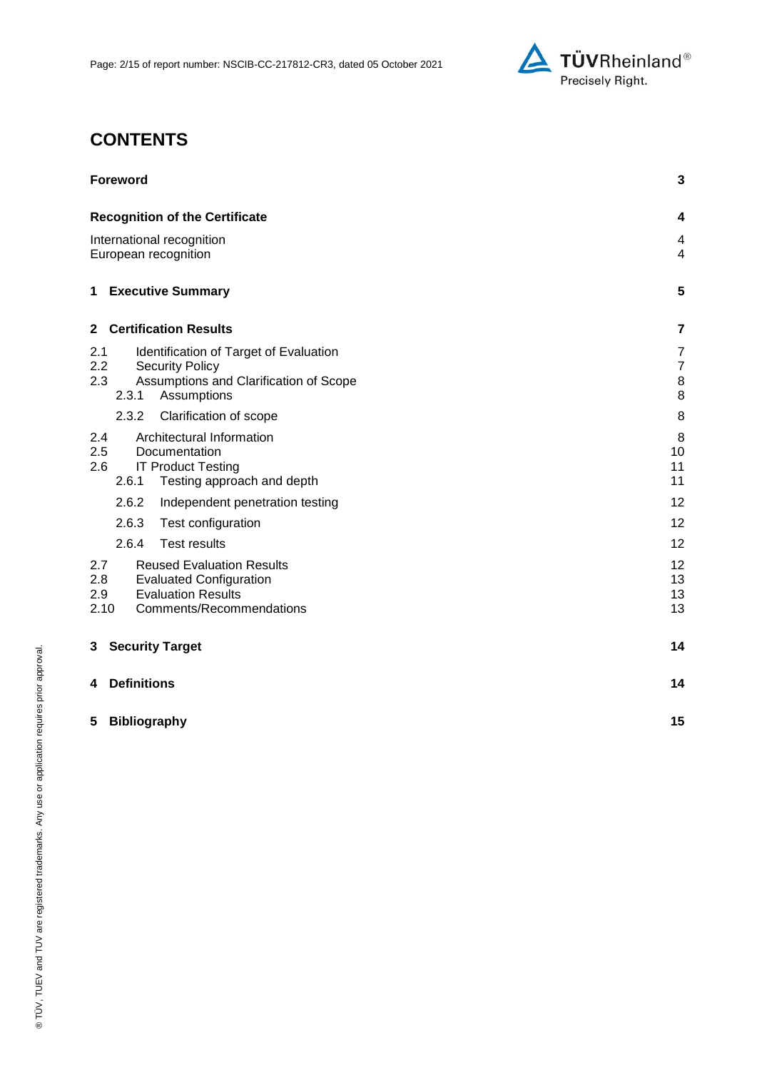

## **CONTENTS**

| <b>Foreword</b>                                                                                                                                             | 3                                                |
|-------------------------------------------------------------------------------------------------------------------------------------------------------------|--------------------------------------------------|
| <b>Recognition of the Certificate</b>                                                                                                                       | 4                                                |
| International recognition<br>European recognition                                                                                                           | 4<br>$\overline{4}$                              |
| <b>Executive Summary</b><br>$\mathbf 1$                                                                                                                     | 5                                                |
| <b>Certification Results</b><br>$\mathbf{2}$                                                                                                                | 7                                                |
| Identification of Target of Evaluation<br>2.1<br>$2.2\,$<br><b>Security Policy</b><br>2.3<br>Assumptions and Clarification of Scope<br>2.3.1<br>Assumptions | $\overline{7}$<br>$\overline{7}$<br>$\,8\,$<br>8 |
| 2.3.2<br>Clarification of scope                                                                                                                             | 8                                                |
| Architectural Information<br>2.4<br>2.5<br>Documentation<br>2.6<br><b>IT Product Testing</b><br>2.6.1<br>Testing approach and depth                         | 8<br>10<br>11<br>11                              |
| 2.6.2<br>Independent penetration testing                                                                                                                    | 12                                               |
| 2.6.3<br>Test configuration                                                                                                                                 | 12                                               |
| 2.6.4<br><b>Test results</b>                                                                                                                                | 12                                               |
| 2.7<br><b>Reused Evaluation Results</b><br>2.8<br><b>Evaluated Configuration</b><br><b>Evaluation Results</b><br>2.9<br>2.10<br>Comments/Recommendations    | 12<br>13<br>13<br>13                             |
| <b>Security Target</b><br>3                                                                                                                                 | 14                                               |
| <b>Definitions</b><br>4                                                                                                                                     | 14                                               |
| 5<br><b>Bibliography</b>                                                                                                                                    | 15                                               |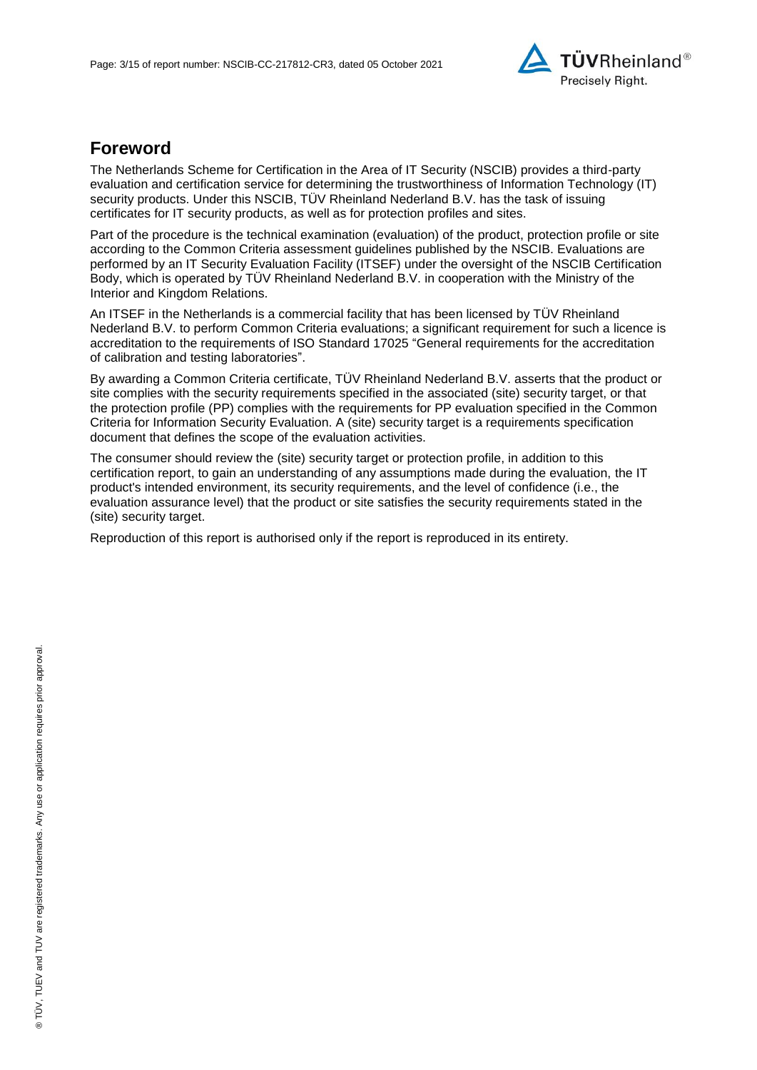

## **Foreword**

The Netherlands Scheme for Certification in the Area of IT Security (NSCIB) provides a third-party evaluation and certification service for determining the trustworthiness of Information Technology (IT) security products. Under this NSCIB, TUV Rheinland Nederland B.V. has the task of issuing certificates for IT security products, as well as for protection profiles and sites.

Part of the procedure is the technical examination (evaluation) of the product, protection profile or site according to the Common Criteria assessment guidelines published by the NSCIB. Evaluations are performed by an IT Security Evaluation Facility (ITSEF) under the oversight of the NSCIB Certification Body, which is operated by TÜV Rheinland Nederland B.V. in cooperation with the Ministry of the Interior and Kingdom Relations.

An ITSEF in the Netherlands is a commercial facility that has been licensed by TÜV Rheinland Nederland B.V. to perform Common Criteria evaluations; a significant requirement for such a licence is accreditation to the requirements of ISO Standard 17025 "General requirements for the accreditation of calibration and testing laboratories".

By awarding a Common Criteria certificate, TÜV Rheinland Nederland B.V. asserts that the product or site complies with the security requirements specified in the associated (site) security target, or that the protection profile (PP) complies with the requirements for PP evaluation specified in the Common Criteria for Information Security Evaluation. A (site) security target is a requirements specification document that defines the scope of the evaluation activities.

The consumer should review the (site) security target or protection profile, in addition to this certification report, to gain an understanding of any assumptions made during the evaluation, the IT product's intended environment, its security requirements, and the level of confidence (i.e., the evaluation assurance level) that the product or site satisfies the security requirements stated in the (site) security target.

Reproduction of this report is authorised only if the report is reproduced in its entirety.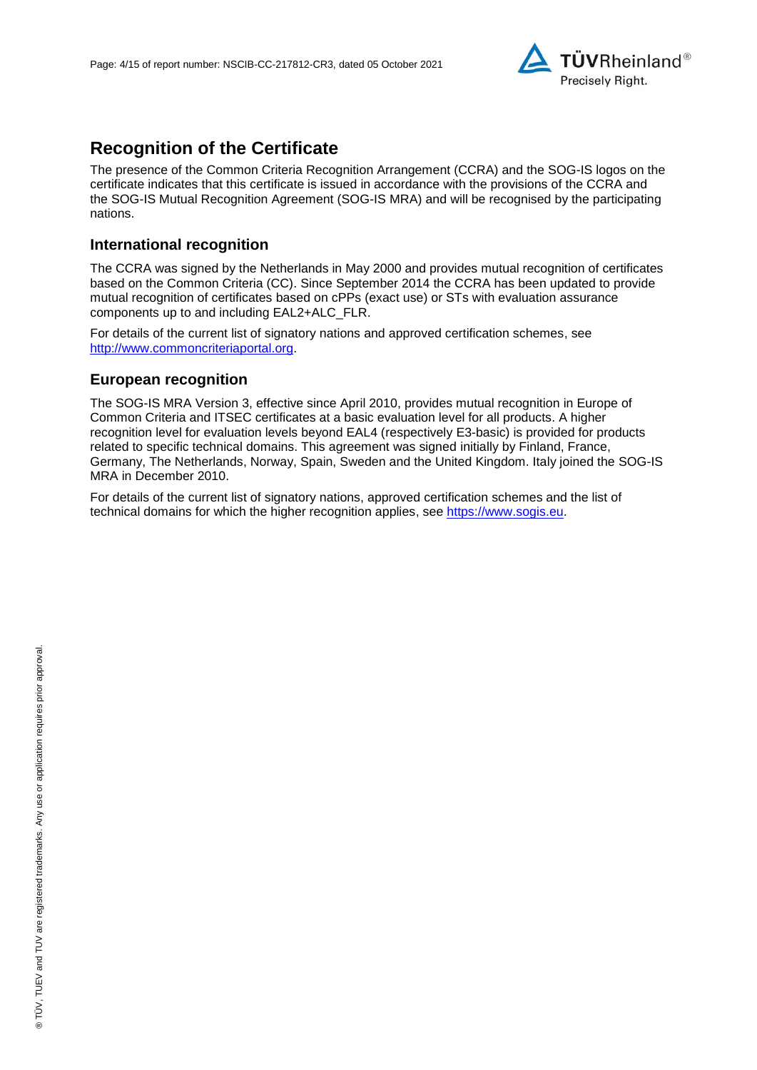

## **Recognition of the Certificate**

The presence of the Common Criteria Recognition Arrangement (CCRA) and the SOG-IS logos on the certificate indicates that this certificate is issued in accordance with the provisions of the CCRA and the SOG-IS Mutual Recognition Agreement (SOG-IS MRA) and will be recognised by the participating nations.

### **International recognition**

The CCRA was signed by the Netherlands in May 2000 and provides mutual recognition of certificates based on the Common Criteria (CC). Since September 2014 the CCRA has been updated to provide mutual recognition of certificates based on cPPs (exact use) or STs with evaluation assurance components up to and including EAL2+ALC\_FLR.

For details of the current list of signatory nations and approved certification schemes, see [http://www.commoncriteriaportal.org.](http://www.commoncriteriaportal.org/)

### **European recognition**

The SOG-IS MRA Version 3, effective since April 2010, provides mutual recognition in Europe of Common Criteria and ITSEC certificates at a basic evaluation level for all products. A higher recognition level for evaluation levels beyond EAL4 (respectively E3-basic) is provided for products related to specific technical domains. This agreement was signed initially by Finland, France, Germany, The Netherlands, Norway, Spain, Sweden and the United Kingdom. Italy joined the SOG-IS MRA in December 2010.

For details of the current list of signatory nations, approved certification schemes and the list of technical domains for which the higher recognition applies, see [https://www.sogis.eu.](https://www.sogis.eu/)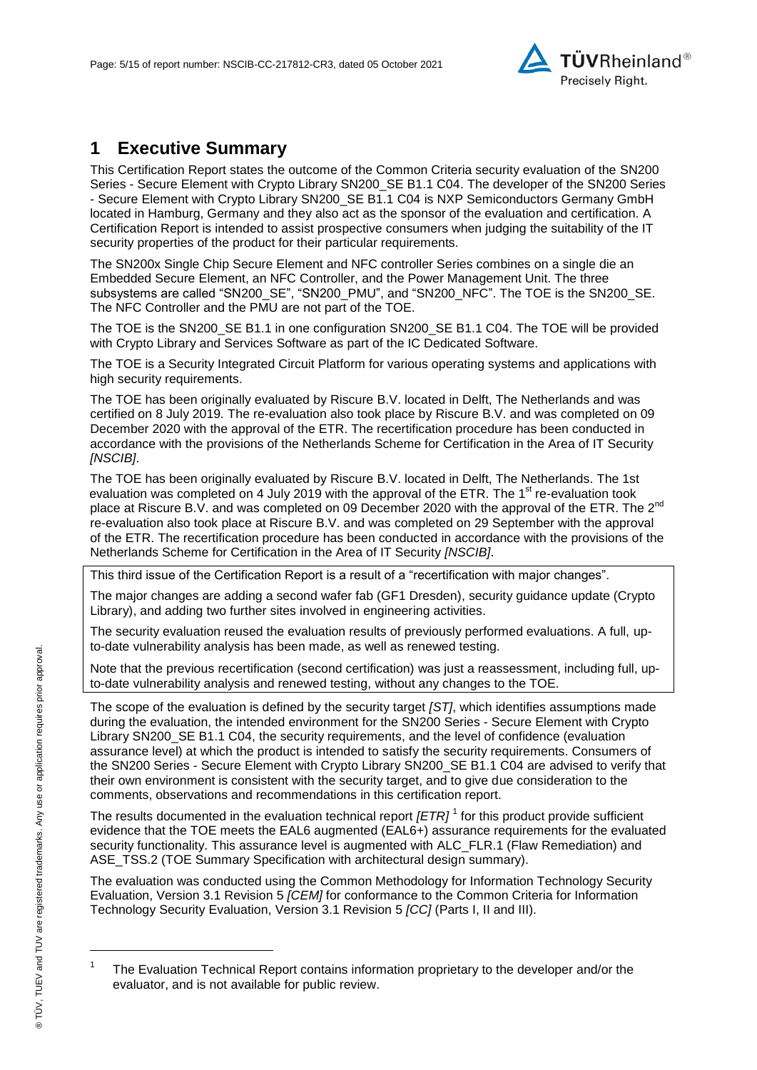

## **1 Executive Summary**

<span id="page-4-2"></span>This Certification Report states the outcome of the Common Criteria security evaluation of the [SN200](#page-0-3)  Series - [Secure Element with Crypto Library SN200\\_SE B1.1 C04.](#page-0-3) The developer of the [SN200 Series](#page-0-3)  - [Secure Element with Crypto Library SN200\\_SE B1.1 C04](#page-0-3) is [NXP Semiconductors Germany GmbH](#page-0-4) located in Hamburg, Germany and they also act as the sponsor of the evaluation and certification. A Certification Report is intended to assist prospective consumers when judging the suitability of the IT security properties of the product for their particular requirements.

The SN200x Single Chip Secure Element and NFC controller Series combines on a single die an Embedded Secure Element, an NFC Controller, and the Power Management Unit. The three subsystems are called "SN200\_SE", "SN200\_PMU", and "SN200\_NFC". The TOE is the SN200\_SE. The NFC Controller and the PMU are not part of the TOE.

The TOE is the SN200 SE B1.1 in one configuration SN200 SE B1.1 C04. The TOE will be provided with Crypto Library and Services Software as part of the IC Dedicated Software.

The TOE is a Security Integrated Circuit Platform for various operating systems and applications with high security requirements.

The TOE has been originally evaluated by Riscure B.V. located in Delft, The Netherlands and was certified on 8 July 2019*.* The re-evaluation also took place by Riscure B.V. and was completed on 09 December 2020 with the approval of the ETR. The recertification procedure has been conducted in accordance with the provisions of the Netherlands Scheme for Certification in the Area of IT Security *[NSCIB]*.

The TOE has been originally evaluated by Riscure B.V. located in Delft, The Netherlands. The 1st evaluation was completed on 4 July 2019 with the approval of the ETR. The 1<sup>st</sup> re-evaluation took place at Riscure B.V. and was completed on 09 December 2020 with the approval of the ETR. The 2<sup>nd</sup> re-evaluation also took place at Riscure B.V. and was completed on 29 September with the approval of the ETR. The recertification procedure has been conducted in accordance with the provisions of the Netherlands Scheme for Certification in the Area of IT Security *[NSCIB]*.

This third issue of the Certification Report is a result of a "recertification with major changes".

The major changes are adding a second wafer fab (GF1 Dresden), security guidance update (Crypto Library), and adding two further sites involved in engineering activities.

The security evaluation reused the evaluation results of previously performed evaluations. A full, upto-date vulnerability analysis has been made, as well as renewed testing.

Note that the previous recertification (second certification) was just a reassessment, including full, upto-date vulnerability analysis and renewed testing, without any changes to the TOE.

The scope of the evaluation is defined by the security target *[ST]*, which identifies assumptions made during the evaluation, the intended environment for the SN200 Series - [Secure Element with Crypto](#page-0-3)  [Library SN200\\_SE B1.1 C04,](#page-0-3) the security requirements, and the level of confidence (evaluation assurance level) at which the product is intended to satisfy the security requirements. Consumers of the SN200 Series - [Secure Element with Crypto Library SN200\\_SE B1.1 C04](#page-0-3) are advised to verify that their own environment is consistent with the security target, and to give due consideration to the comments, observations and recommendations in this certification report.

<span id="page-4-0"></span>The results documented in the evaluation technical report *[ETR]* <sup>1</sup> for this product provide sufficient evidence that the TOE meets the EAL6 augmented (EA[L6+](#page-4-0)) assurance requirements for the evaluated security functionality. This assurance level is augmented with ALC\_FLR.1 (Flaw Remediation) and ASE TSS.2 (TOE Summary Specification with architectural design summary).

<span id="page-4-1"></span>The evaluation was conducted using the Common Methodology for Information Technology Security Evaluation, Version 3.1 Revision 5 *[CEM]* for conformance to the Common Criteria for Information Technology Security Evaluation, Version 3.1 Revision [5](#page-4-1) *[CC]* (Parts I, II and III).

l

<sup>1</sup> The Evaluation Technical Report contains information proprietary to the developer and/or the evaluator, and is not available for public review.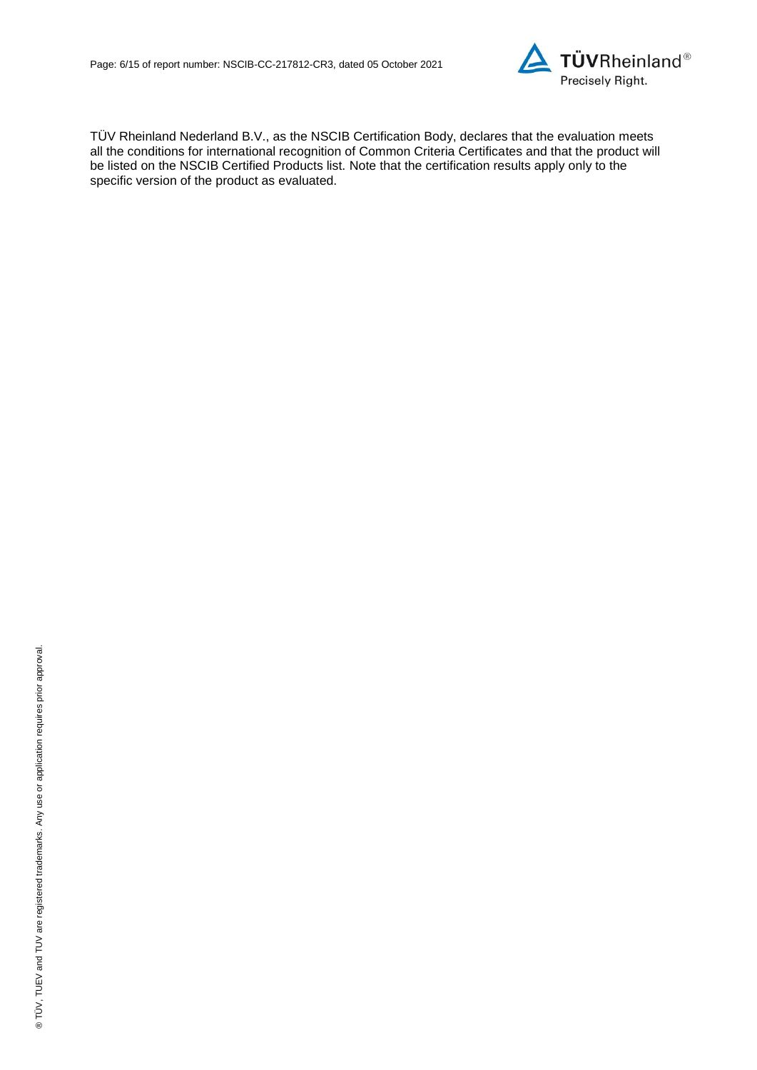

TÜV Rheinland Nederland B.V., as the NSCIB Certification Body, declares that the evaluation meets all the conditions for international recognition of Common Criteria Certificates and that the product will be listed on the NSCIB Certified Products list. Note that the certification results apply only to the specific version of the product as evaluated.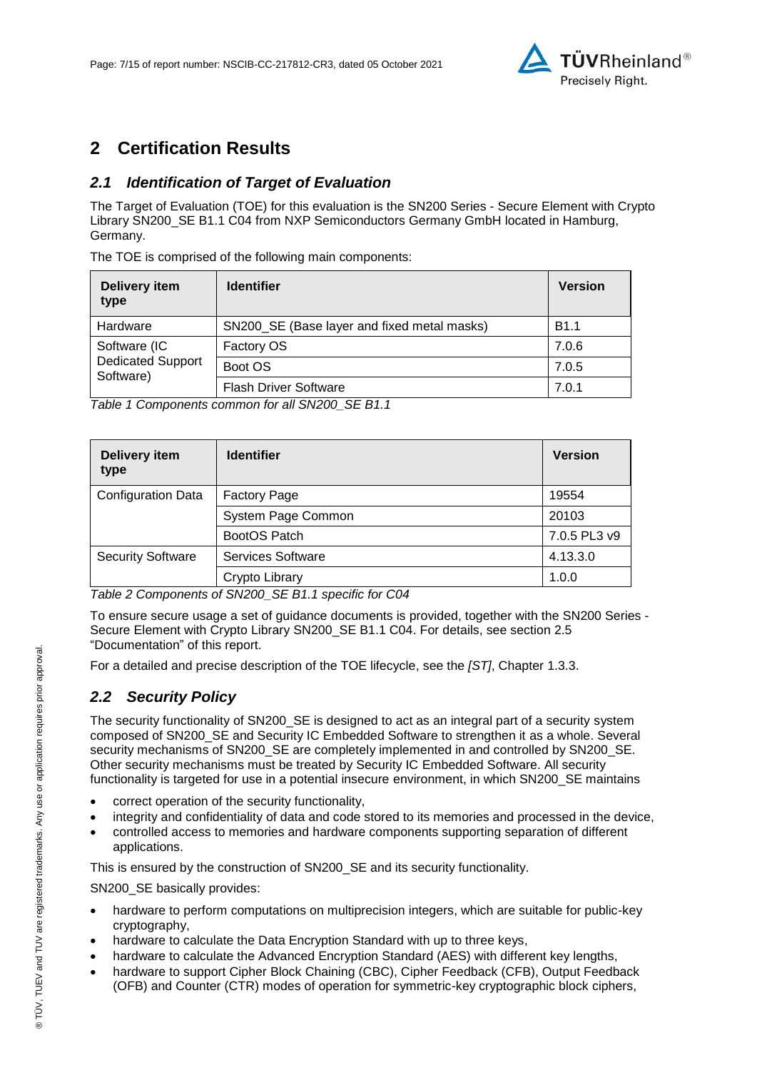

## **2 Certification Results**

## *2.1 Identification of Target of Evaluation*

The Target of Evaluation (TOE) for this evaluation is the SN200 Series - [Secure Element with Crypto](#page-0-3)  [Library SN200\\_SE B1.1 C04](#page-0-3) from [NXP Semiconductors Germany GmbH](#page-0-4) located i[n Hamburg,](#page-4-2)  [Germany.](#page-4-2)

The TOE is comprised of the following main components:

| Delivery item<br>type                 | <b>Identifier</b>                           | <b>Version</b> |
|---------------------------------------|---------------------------------------------|----------------|
| Hardware                              | SN200_SE (Base layer and fixed metal masks) | <b>B1.1</b>    |
| Software (IC                          | Factory OS                                  | 7.0.6          |
| <b>Dedicated Support</b><br>Software) | Boot OS                                     | 7.0.5          |
|                                       | <b>Flash Driver Software</b>                | 7.0.1          |

*Table 1 Components common for all SN200\_SE B1.1*

| Delivery item<br>type     | <b>Identifier</b>        | <b>Version</b> |
|---------------------------|--------------------------|----------------|
| <b>Configuration Data</b> | <b>Factory Page</b>      | 19554          |
|                           | System Page Common       | 20103          |
|                           | BootOS Patch             | 7.0.5 PL3 v9   |
| <b>Security Software</b>  | <b>Services Software</b> | 4.13.3.0       |
|                           | Crypto Library           | 1.0.0          |

*Table 2 Components of SN200\_SE B1.1 specific for C04*

To ensure secure usage a set of guidance documents is provided, together with the [SN200 Series -](#page-0-3) [Secure Element with Crypto Library SN200\\_SE B1.1 C04.](#page-0-3) For details, see section [2.5](#page-9-0) ["Documentation"](#page-9-0) of this report.

For a detailed and precise description of the TOE lifecycle, see the *[ST]*, Chapter 1.3.3.

## *2.2 Security Policy*

The security functionality of SN200 SE is designed to act as an integral part of a security system composed of SN200\_SE and Security IC Embedded Software to strengthen it as a whole. Several security mechanisms of SN200\_SE are completely implemented in and controlled by SN200\_SE. Other security mechanisms must be treated by Security IC Embedded Software. All security functionality is targeted for use in a potential insecure environment, in which SN200\_SE maintains

- correct operation of the security functionality,
- integrity and confidentiality of data and code stored to its memories and processed in the device,
- controlled access to memories and hardware components supporting separation of different applications.

This is ensured by the construction of SN200\_SE and its security functionality.

SN200 SE basically provides:

- hardware to perform computations on multiprecision integers, which are suitable for public-key cryptography,
- hardware to calculate the Data Encryption Standard with up to three keys,
- hardware to calculate the Advanced Encryption Standard (AES) with different key lengths,
- hardware to support Cipher Block Chaining (CBC), Cipher Feedback (CFB), Output Feedback (OFB) and Counter (CTR) modes of operation for symmetric-key cryptographic block ciphers,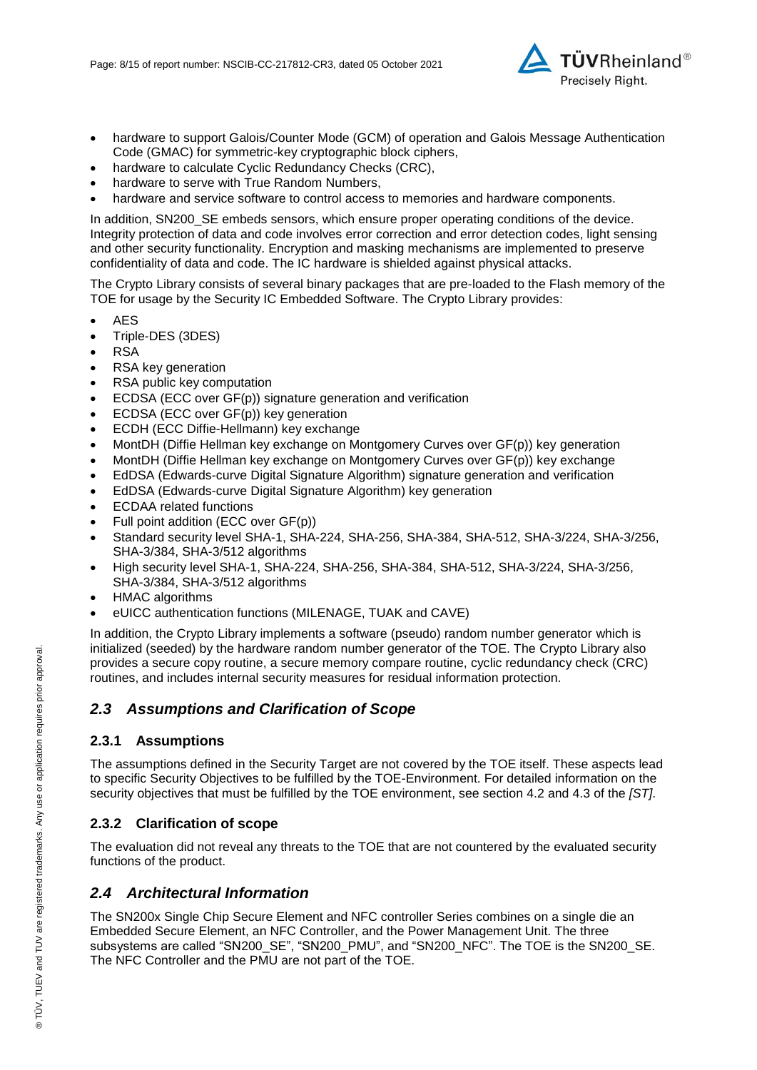

- hardware to support Galois/Counter Mode (GCM) of operation and Galois Message Authentication Code (GMAC) for symmetric-key cryptographic block ciphers,
- hardware to calculate Cyclic Redundancy Checks (CRC),
- hardware to serve with True Random Numbers,
- hardware and service software to control access to memories and hardware components.

In addition, SN200\_SE embeds sensors, which ensure proper operating conditions of the device. Integrity protection of data and code involves error correction and error detection codes, light sensing and other security functionality. Encryption and masking mechanisms are implemented to preserve confidentiality of data and code. The IC hardware is shielded against physical attacks.

The Crypto Library consists of several binary packages that are pre-loaded to the Flash memory of the TOE for usage by the Security IC Embedded Software. The Crypto Library provides:

- AES
- Triple-DES (3DES)
- RSA
- RSA key generation
- RSA public key computation
- ECDSA (ECC over GF(p)) signature generation and verification
- ECDSA (ECC over GF(p)) key generation
- ECDH (ECC Diffie-Hellmann) key exchange
- MontDH (Diffie Hellman key exchange on Montgomery Curves over GF(p)) key generation
- MontDH (Diffie Hellman key exchange on Montgomery Curves over GF(p)) key exchange
- EdDSA (Edwards-curve Digital Signature Algorithm) signature generation and verification
- EdDSA (Edwards-curve Digital Signature Algorithm) key generation
- ECDAA related functions
- Full point addition (ECC over GF(p))
- Standard security level SHA-1, SHA-224, SHA-256, SHA-384, SHA-512, SHA-3/224, SHA-3/256, SHA-3/384, SHA-3/512 algorithms
- High security level SHA-1, SHA-224, SHA-256, SHA-384, SHA-512, SHA-3/224, SHA-3/256, SHA-3/384, SHA-3/512 algorithms
- HMAC algorithms
- eUICC authentication functions (MILENAGE, TUAK and CAVE)

In addition, the Crypto Library implements a software (pseudo) random number generator which is initialized (seeded) by the hardware random number generator of the TOE. The Crypto Library also provides a secure copy routine, a secure memory compare routine, cyclic redundancy check (CRC) routines, and includes internal security measures for residual information protection.

### *2.3 Assumptions and Clarification of Scope*

#### **2.3.1 Assumptions**

The assumptions defined in the Security Target are not covered by the TOE itself. These aspects lead to specific Security Objectives to be fulfilled by the TOE-Environment. For detailed information on the security objectives that must be fulfilled by the TOE environment, see section 4.2 and 4.3 of the *[ST]*.

#### **2.3.2 Clarification of scope**

The evaluation did not reveal any threats to the TOE that are not countered by the evaluated security functions of the product.

### *2.4 Architectural Information*

The SN200x Single Chip Secure Element and NFC controller Series combines on a single die an Embedded Secure Element, an NFC Controller, and the Power Management Unit. The three subsystems are called "SN200\_SE", "SN200\_PMU", and "SN200\_NFC". The TOE is the SN200\_SE. The NFC Controller and the PMU are not part of the TOE.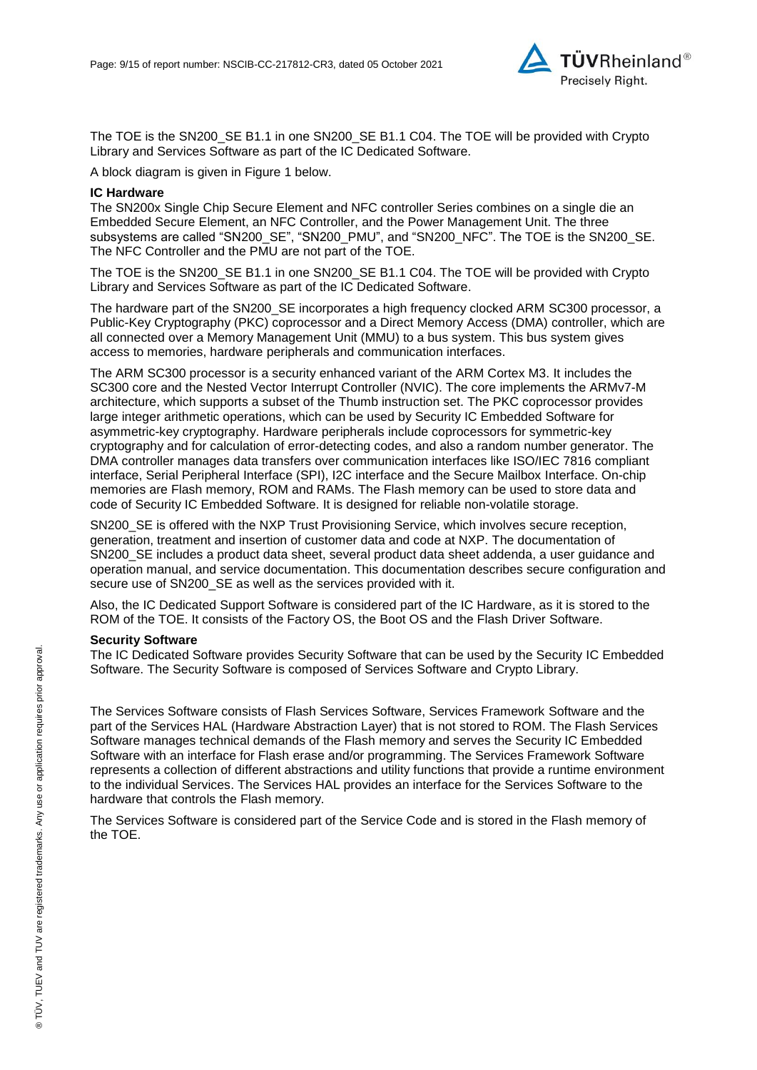

The TOE is the SN200\_SE B1.1 in one SN200\_SE B1.1 C04. The TOE will be provided with Crypto Library and Services Software as part of the IC Dedicated Software.

A block diagram is given in Figure 1 below.

#### **IC Hardware**

The SN200x Single Chip Secure Element and NFC controller Series combines on a single die an Embedded Secure Element, an NFC Controller, and the Power Management Unit. The three subsystems are called "SN200\_SE", "SN200\_PMU", and "SN200\_NFC". The TOE is the SN200 SE. The NFC Controller and the PMU are not part of the TOE.

The TOE is the SN200\_SE B1.1 in one SN200\_SE B1.1 C04. The TOE will be provided with Crypto Library and Services Software as part of the IC Dedicated Software.

The hardware part of the SN200\_SE incorporates a high frequency clocked ARM SC300 processor, a Public-Key Cryptography (PKC) coprocessor and a Direct Memory Access (DMA) controller, which are all connected over a Memory Management Unit (MMU) to a bus system. This bus system gives access to memories, hardware peripherals and communication interfaces.

The ARM SC300 processor is a security enhanced variant of the ARM Cortex M3. It includes the SC300 core and the Nested Vector Interrupt Controller (NVIC). The core implements the ARMv7-M architecture, which supports a subset of the Thumb instruction set. The PKC coprocessor provides large integer arithmetic operations, which can be used by Security IC Embedded Software for asymmetric-key cryptography. Hardware peripherals include coprocessors for symmetric-key cryptography and for calculation of error-detecting codes, and also a random number generator. The DMA controller manages data transfers over communication interfaces like ISO/IEC 7816 compliant interface, Serial Peripheral Interface (SPI), I2C interface and the Secure Mailbox Interface. On-chip memories are Flash memory, ROM and RAMs. The Flash memory can be used to store data and code of Security IC Embedded Software. It is designed for reliable non-volatile storage.

SN200\_SE is offered with the NXP Trust Provisioning Service, which involves secure reception, generation, treatment and insertion of customer data and code at NXP. The documentation of SN200 SE includes a product data sheet, several product data sheet addenda, a user guidance and operation manual, and service documentation. This documentation describes secure configuration and secure use of SN200\_SE as well as the services provided with it.

Also, the IC Dedicated Support Software is considered part of the IC Hardware, as it is stored to the ROM of the TOE. It consists of the Factory OS, the Boot OS and the Flash Driver Software.

#### **Security Software**

The IC Dedicated Software provides Security Software that can be used by the Security IC Embedded Software. The Security Software is composed of Services Software and Crypto Library.

The Services Software consists of Flash Services Software, Services Framework Software and the part of the Services HAL (Hardware Abstraction Layer) that is not stored to ROM. The Flash Services Software manages technical demands of the Flash memory and serves the Security IC Embedded Software with an interface for Flash erase and/or programming. The Services Framework Software represents a collection of different abstractions and utility functions that provide a runtime environment to the individual Services. The Services HAL provides an interface for the Services Software to the hardware that controls the Flash memory.

The Services Software is considered part of the Service Code and is stored in the Flash memory of the TOE.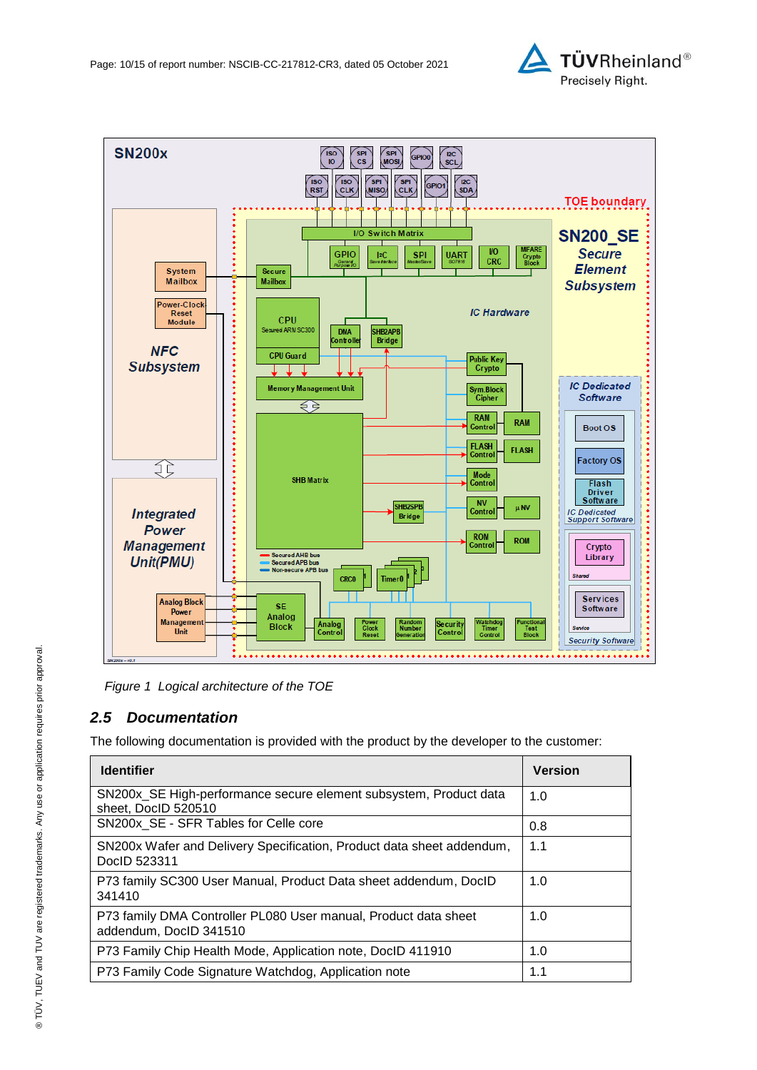

*Figure 1 Logical architecture of the TOE*

## <span id="page-9-0"></span>*2.5 Documentation*

The following documentation is provided with the product by the developer to the customer:

| <b>Identifier</b>                                                                         | <b>Version</b> |
|-------------------------------------------------------------------------------------------|----------------|
| SN200x SE High-performance secure element subsystem, Product data<br>sheet, DocID 520510  | 1.0            |
| SN200x SE - SFR Tables for Celle core                                                     | 0.8            |
| SN200x Wafer and Delivery Specification, Product data sheet addendum,<br>DocID 523311     | 1.1            |
| P73 family SC300 User Manual, Product Data sheet addendum, DocID<br>341410                | 1.0            |
| P73 family DMA Controller PL080 User manual, Product data sheet<br>addendum, DocID 341510 | 1.0            |
| P73 Family Chip Health Mode, Application note, DocID 411910                               | 1.0            |
| P73 Family Code Signature Watchdog, Application note                                      | 1.1            |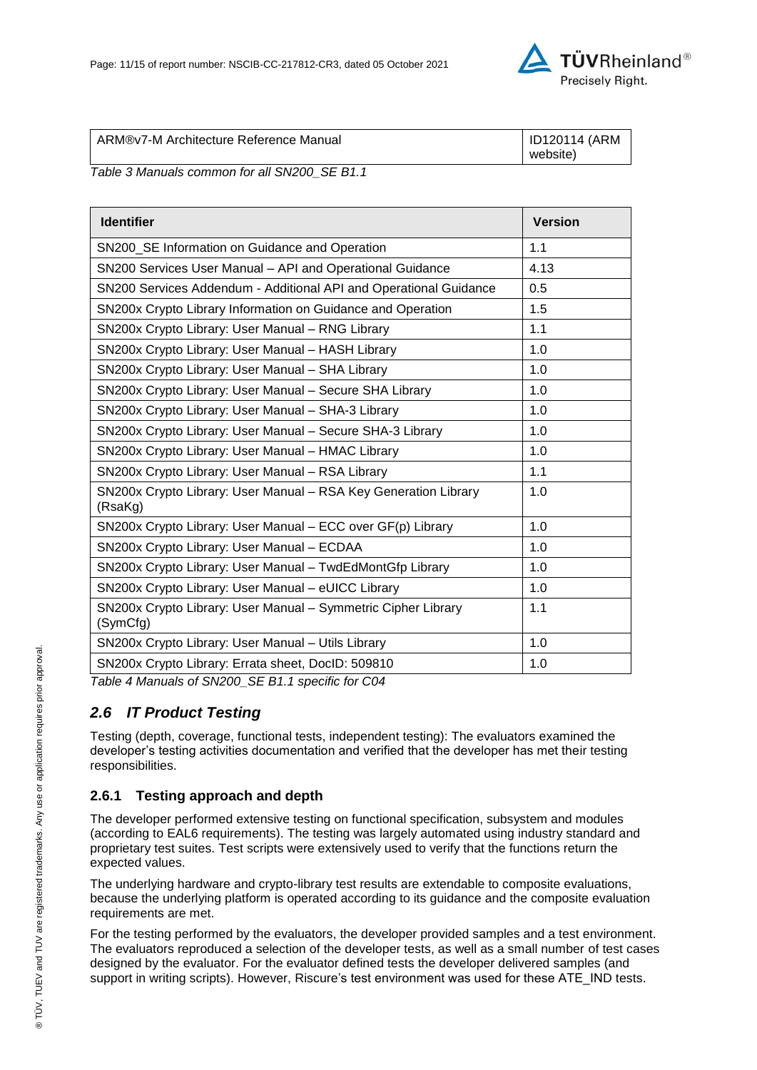

| ARM®v7-M Architecture Reference Manual | ID120114 (ARM |
|----------------------------------------|---------------|
|                                        | website)      |

*Table 3 Manuals common for all SN200\_SE B1.1*

| <b>Identifier</b>                                                          | <b>Version</b> |
|----------------------------------------------------------------------------|----------------|
| SN200_SE Information on Guidance and Operation                             | 1.1            |
| SN200 Services User Manual - API and Operational Guidance                  | 4.13           |
| SN200 Services Addendum - Additional API and Operational Guidance          | 0.5            |
| SN200x Crypto Library Information on Guidance and Operation                | 1.5            |
| SN200x Crypto Library: User Manual - RNG Library                           | 1.1            |
| SN200x Crypto Library: User Manual - HASH Library                          | 1.0            |
| SN200x Crypto Library: User Manual - SHA Library                           | 1.0            |
| SN200x Crypto Library: User Manual - Secure SHA Library                    | 1.0            |
| SN200x Crypto Library: User Manual - SHA-3 Library                         | 1.0            |
| SN200x Crypto Library: User Manual - Secure SHA-3 Library                  | 1.0            |
| SN200x Crypto Library: User Manual - HMAC Library                          | 1.0            |
| SN200x Crypto Library: User Manual - RSA Library                           | 1.1            |
| SN200x Crypto Library: User Manual - RSA Key Generation Library<br>(RsaKg) | 1.0            |
| SN200x Crypto Library: User Manual - ECC over GF(p) Library                | 1.0            |
| SN200x Crypto Library: User Manual - ECDAA                                 | 1.0            |
| SN200x Crypto Library: User Manual - TwdEdMontGfp Library                  | 1.0            |
| SN200x Crypto Library: User Manual - eUICC Library                         | 1.0            |
| SN200x Crypto Library: User Manual - Symmetric Cipher Library<br>(SymCfg)  | 1.1            |
| SN200x Crypto Library: User Manual - Utils Library                         | 1.0            |
| SN200x Crypto Library: Errata sheet, DocID: 509810                         | 1.0            |

*Table 4 Manuals of SN200\_SE B1.1 specific for C04*

## *2.6 IT Product Testing*

Testing (depth, coverage, functional tests, independent testing): The evaluators examined the developer's testing activities documentation and verified that the developer has met their testing responsibilities.

### **2.6.1 Testing approach and depth**

The developer performed extensive testing on functional specification, subsystem and modules (according to EAL6 requirements). The testing was largely automated using industry standard and proprietary test suites. Test scripts were extensively used to verify that the functions return the expected values.

The underlying hardware and crypto-library test results are extendable to composite evaluations, because the underlying platform is operated according to its guidance and the composite evaluation requirements are met.

For the testing performed by the evaluators, the developer provided samples and a test environment. The evaluators reproduced a selection of the developer tests, as well as a small number of test cases designed by the evaluator. For the evaluator defined tests the developer delivered samples (and support in writing scripts). However, Riscure's test environment was used for these ATE\_IND tests.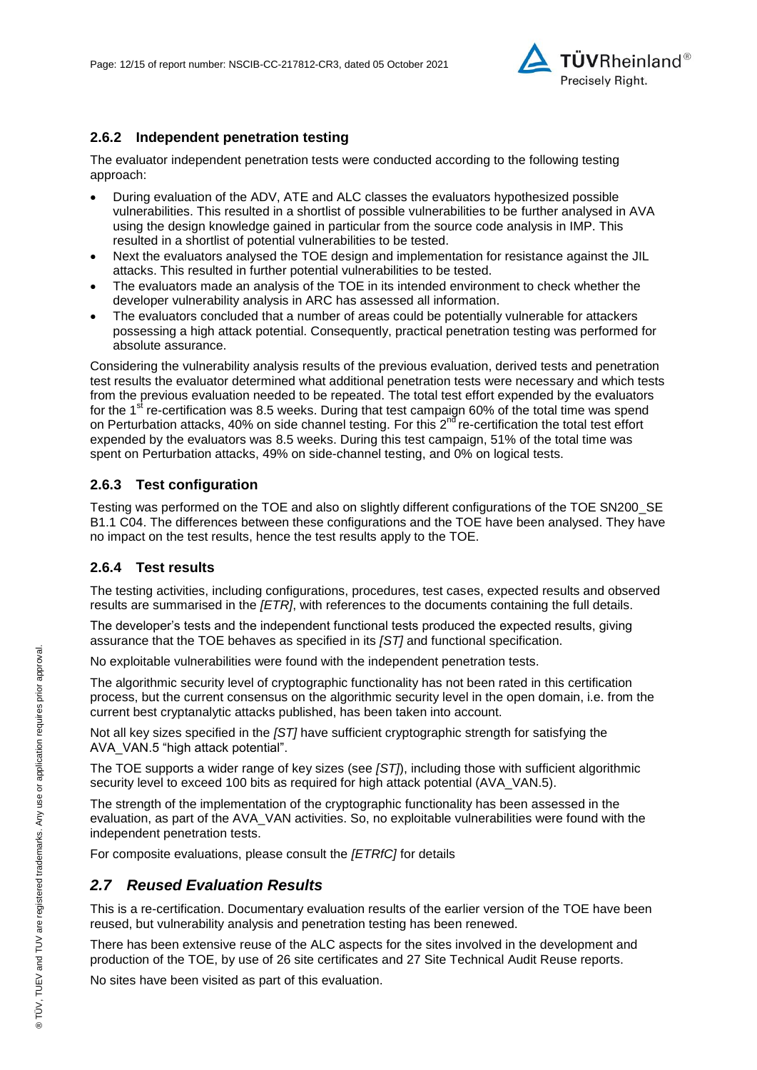

### **2.6.2 Independent penetration testing**

The evaluator independent penetration tests were conducted according to the following testing approach:

- During evaluation of the ADV, ATE and ALC classes the evaluators hypothesized possible vulnerabilities. This resulted in a shortlist of possible vulnerabilities to be further analysed in AVA using the design knowledge gained in particular from the source code analysis in IMP. This resulted in a shortlist of potential vulnerabilities to be tested.
- Next the evaluators analysed the TOE design and implementation for resistance against the JIL attacks. This resulted in further potential vulnerabilities to be tested.
- The evaluators made an analysis of the TOE in its intended environment to check whether the developer vulnerability analysis in ARC has assessed all information.
- The evaluators concluded that a number of areas could be potentially vulnerable for attackers possessing a high attack potential. Consequently, practical penetration testing was performed for absolute assurance.

Considering the vulnerability analysis results of the previous evaluation, derived tests and penetration test results the evaluator determined what additional penetration tests were necessary and which tests from the previous evaluation needed to be repeated. The total test effort expended by the evaluators for the  $1<sup>st</sup>$  re-certification was 8.5 weeks. During that test campaign 60% of the total time was spend on Perturbation attacks, 40% on side channel testing. For this 2<sup>nd</sup> re-certification the total test effort expended by the evaluators was 8.5 weeks. During this test campaign, 51% of the total time was spent on Perturbation attacks, 49% on side-channel testing, and 0% on logical tests.

### **2.6.3 Test configuration**

Testing was performed on the TOE and also on slightly different configurations of the TOE SN200\_SE B1.1 C04. The differences between these configurations and the TOE have been analysed. They have no impact on the test results, hence the test results apply to the TOE.

### **2.6.4 Test results**

The testing activities, including configurations, procedures, test cases, expected results and observed results are summarised in the *[ETR]*, with references to the documents containing the full details.

The developer's tests and the independent functional tests produced the expected results, giving assurance that the TOE behaves as specified in its *[ST]* and functional specification.

No exploitable vulnerabilities were found with the independent penetration tests.

The algorithmic security level of cryptographic functionality has not been rated in this certification process, but the current consensus on the algorithmic security level in the open domain, i.e. from the current best cryptanalytic attacks published, has been taken into account.

Not all key sizes specified in the *[ST]* have sufficient cryptographic strength for satisfying the AVA\_VAN.5 "high attack potential".

The TOE supports a wider range of key sizes (see *[ST]*), including those with sufficient algorithmic security level to exceed 100 bits as required for high attack potential (AVA\_VAN.5).

The strength of the implementation of the cryptographic functionality has been assessed in the evaluation, as part of the AVA\_VAN activities. So, no exploitable vulnerabilities were found with the independent penetration tests.

For composite evaluations, please consult the *[ETRfC]* for details

## *2.7 Reused Evaluation Results*

This is a re-certification. Documentary evaluation results of the earlier version of the TOE have been reused, but vulnerability analysis and penetration testing has been renewed.

There has been extensive reuse of the ALC aspects for the sites involved in the development and production of the TOE, by use of 26 site certificates and 27 Site Technical Audit Reuse reports.

No sites have been visited as part of this evaluation.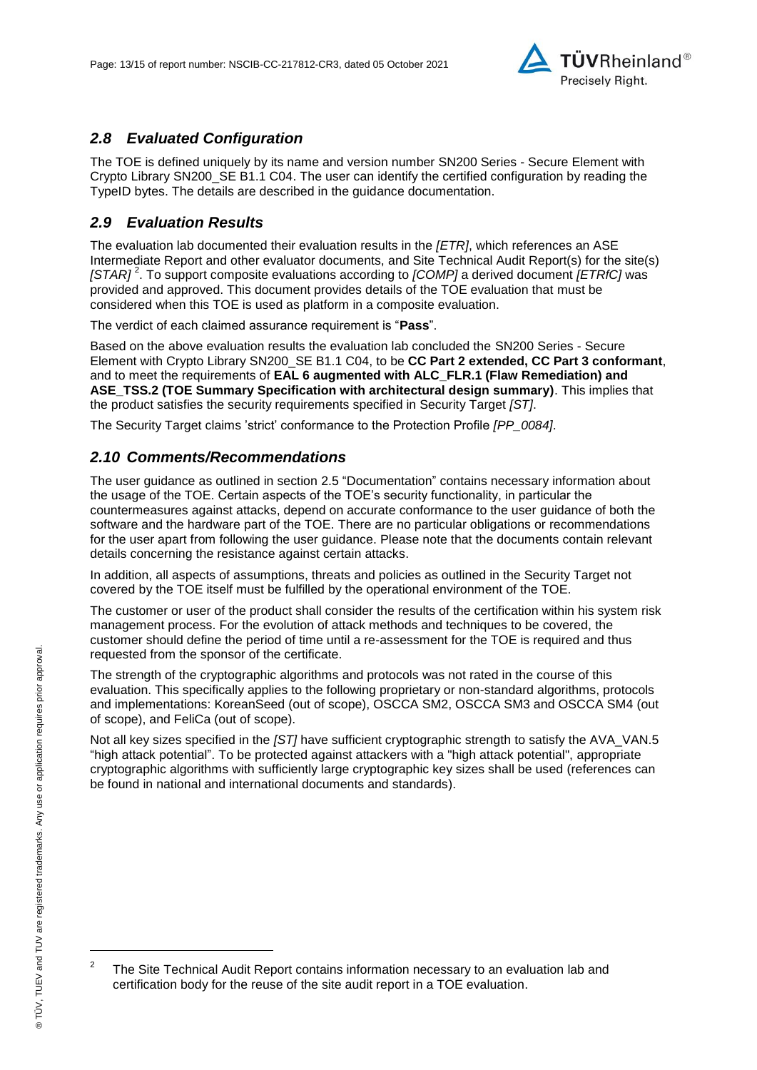

## *2.8 Evaluated Configuration*

The TOE is defined uniquely by its name and version number SN200 Series - [Secure Element with](#page-0-3)  [Crypto Library SN200\\_SE B1.1 C04.](#page-0-3) The user can identify the certified configuration by reading the TypeID bytes. The details are described in the guidance documentation.

## *2.9 Evaluation Results*

The evaluation lab documented their evaluation results in the *[ETR]*, which references an ASE Intermediate Report and other evaluator documents, and Site Technical Audit Report(s) for the site(s) *[STAR]* <sup>2</sup> . To support composite evaluations according to *[COMP]* a derived document *[ETRfC]* was provided and approved. This document provides details of the TOE evaluation that must be considered when this TOE is used as platform in a composite evaluation.

The verdict of each claimed assurance requirement is "**Pass**".

Based on the above evaluation results the evaluation lab concluded the [SN200 Series -](#page-0-3) Secure [Element with Crypto Library SN200\\_SE B1.1 C04,](#page-0-3) to be **CC Part 2 extended, CC Part 3 conformant**, and to meet the requirements of **EAL [6](#page-4-0) augmented with ALC\_FLR.1 (Flaw Remediation) and ASE\_TSS.2 (TOE Summary Specification with architectural design summary)**. This implies that the product satisfies the security requirements specified in Security Target *[ST]*.

The Security Target claims 'strict' conformance to the Protection Profile *[PP\_0084]*.

### *2.10 Comments/Recommendations*

The user guidance as outlined in section [2.5](#page-9-0) ["Documentation"](#page-9-0) contains necessary information about the usage of the TOE. Certain aspects of the TOE's security functionality, in particular the countermeasures against attacks, depend on accurate conformance to the user guidance of both the software and the hardware part of the TOE. There are no particular obligations or recommendations for the user apart from following the user guidance. Please note that the documents contain relevant details concerning the resistance against certain attacks.

In addition, all aspects of assumptions, threats and policies as outlined in the Security Target not covered by the TOE itself must be fulfilled by the operational environment of the TOE.

The customer or user of the product shall consider the results of the certification within his system risk management process. For the evolution of attack methods and techniques to be covered, the customer should define the period of time until a re-assessment for the TOE is required and thus requested from the sponsor of the certificate.

The strength of the cryptographic algorithms and protocols was not rated in the course of this evaluation. This specifically applies to the following proprietary or non-standard algorithms, protocols and implementations: KoreanSeed (out of scope), OSCCA SM2, OSCCA SM3 and OSCCA SM4 (out of scope), and FeliCa (out of scope).

Not all key sizes specified in the *[ST]* have sufficient cryptographic strength to satisfy the AVA\_VAN.5 "high attack potential". To be protected against attackers with a "high attack potential", appropriate cryptographic algorithms with sufficiently large cryptographic key sizes shall be used (references can be found in national and international documents and standards).

l

 $\overline{2}$ The Site Technical Audit Report contains information necessary to an evaluation lab and certification body for the reuse of the site audit report in a TOE evaluation.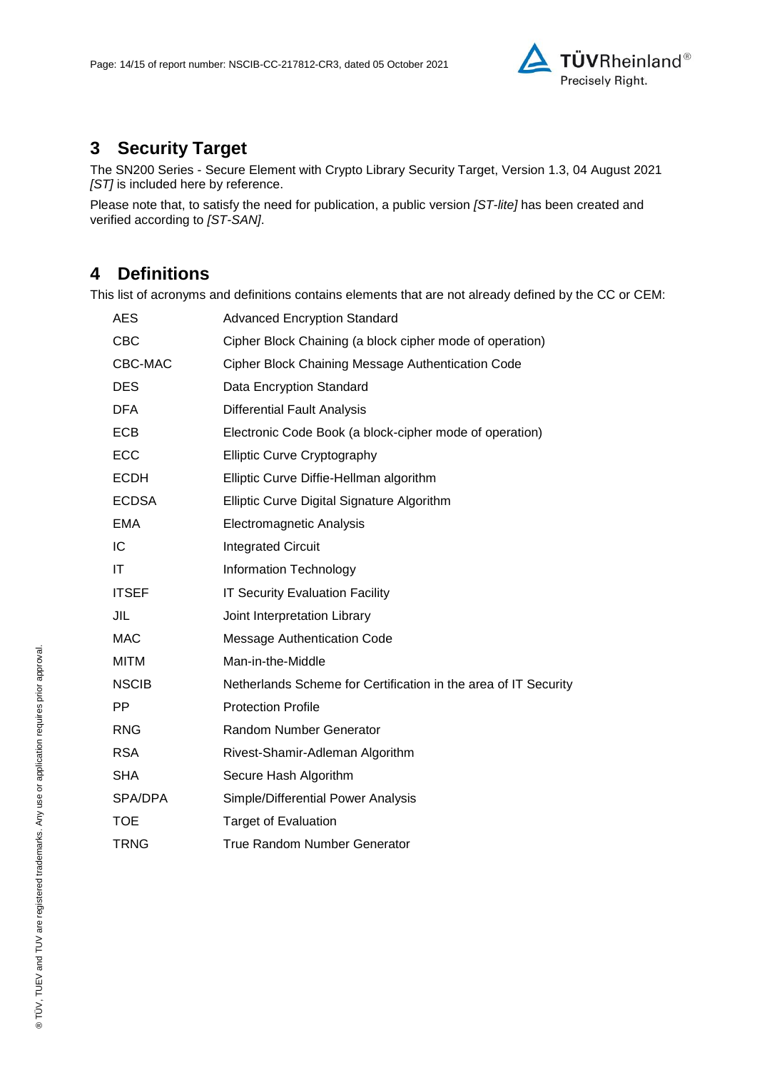

## **3 Security Target**

The SN200 Series - [Secure Element with Crypto Library Security Target, Version 1.3, 04 August 2021](#page-14-0) *[ST]* is included here by reference.

Please note that, to satisfy the need for publication, a public version *[ST-lite]* has been created and verified according to *[ST-SAN]*.

## **4 Definitions**

This list of acronyms and definitions contains elements that are not already defined by the CC or CEM:

| AES          | <b>Advanced Encryption Standard</b>                             |
|--------------|-----------------------------------------------------------------|
| <b>CBC</b>   | Cipher Block Chaining (a block cipher mode of operation)        |
| CBC-MAC      | Cipher Block Chaining Message Authentication Code               |
| <b>DES</b>   | Data Encryption Standard                                        |
| <b>DFA</b>   | <b>Differential Fault Analysis</b>                              |
| ECB          | Electronic Code Book (a block-cipher mode of operation)         |
| ECC          | <b>Elliptic Curve Cryptography</b>                              |
| <b>ECDH</b>  | Elliptic Curve Diffie-Hellman algorithm                         |
| <b>ECDSA</b> | Elliptic Curve Digital Signature Algorithm                      |
| <b>EMA</b>   | Electromagnetic Analysis                                        |
| IC           | <b>Integrated Circuit</b>                                       |
| ΙT           | Information Technology                                          |
| <b>ITSEF</b> | <b>IT Security Evaluation Facility</b>                          |
| JIL          | Joint Interpretation Library                                    |
| <b>MAC</b>   | <b>Message Authentication Code</b>                              |
| <b>MITM</b>  | Man-in-the-Middle                                               |
| <b>NSCIB</b> | Netherlands Scheme for Certification in the area of IT Security |
| <b>PP</b>    | <b>Protection Profile</b>                                       |
| <b>RNG</b>   | <b>Random Number Generator</b>                                  |
| <b>RSA</b>   | Rivest-Shamir-Adleman Algorithm                                 |
| <b>SHA</b>   | Secure Hash Algorithm                                           |
| SPA/DPA      | Simple/Differential Power Analysis                              |
| <b>TOE</b>   | <b>Target of Evaluation</b>                                     |
| <b>TRNG</b>  | <b>True Random Number Generator</b>                             |